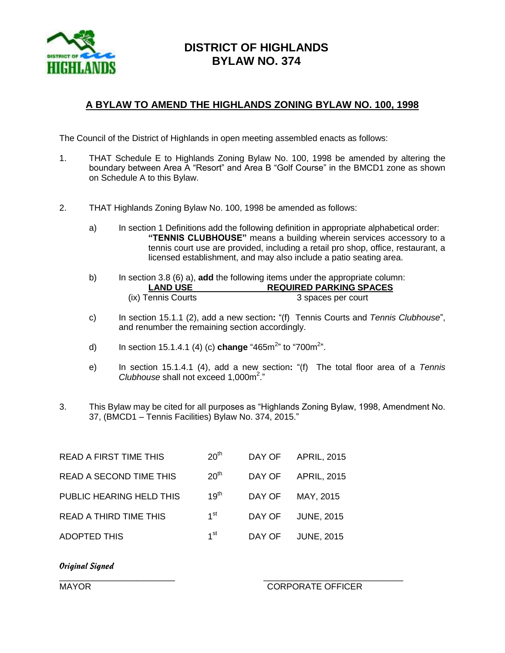

## **DISTRICT OF HIGHLANDS BYLAW NO. 374**

## **A BYLAW TO AMEND THE HIGHLANDS ZONING BYLAW NO. 100, 1998**

The Council of the District of Highlands in open meeting assembled enacts as follows:

- 1. THAT Schedule E to Highlands Zoning Bylaw No. 100, 1998 be amended by altering the boundary between Area A "Resort" and Area B "Golf Course" in the BMCD1 zone as shown on Schedule A to this Bylaw.
- 2. THAT Highlands Zoning Bylaw No. 100, 1998 be amended as follows:
	- a) In section 1 Definitions add the following definition in appropriate alphabetical order: **"TENNIS CLUBHOUSE"** means a building wherein services accessory to a tennis court use are provided, including a retail pro shop, office, restaurant, a licensed establishment, and may also include a patio seating area.
	- b) In section 3.8 (6) a), **add** the following items under the appropriate column: **LAND USE REQUIRED PARKING SPACES** (ix) Tennis Courts 3 spaces per court
	- c) In section 15.1.1 (2), add a new section**:** "(f) Tennis Courts and *Tennis Clubhouse*", and renumber the remaining section accordingly.
	- d) In section 15.1.4.1 (4) (c) **change** "465m<sup>2</sup>" to "700m<sup>2</sup>".
	- e) In section 15.1.4.1 (4), add a new section**:** "(f) The total floor area of a *Tennis Clubhouse* shall not exceed 1,000m 2 ."
- 3. This Bylaw may be cited for all purposes as "Highlands Zoning Bylaw, 1998, Amendment No. 37, (BMCD1 – Tennis Facilities) Bylaw No. 374, 2015."

| <b>READ A FIRST TIME THIS</b>  | 20 <sup>th</sup> |        | DAY OF APRIL, 2015 |
|--------------------------------|------------------|--------|--------------------|
| <b>READ A SECOND TIME THIS</b> | 20 <sup>th</sup> |        | DAY OF APRIL, 2015 |
| PUBLIC HEARING HELD THIS       | 19 <sup>th</sup> | DAY OF | MAY, 2015          |
| <b>READ A THIRD TIME THIS</b>  | 1 <sup>st</sup>  | DAY OF | <b>JUNE, 2015</b>  |
| <b>ADOPTED THIS</b>            | 1 <sup>st</sup>  | DAY OF | <b>JUNE, 2015</b>  |

## *Original Signed*